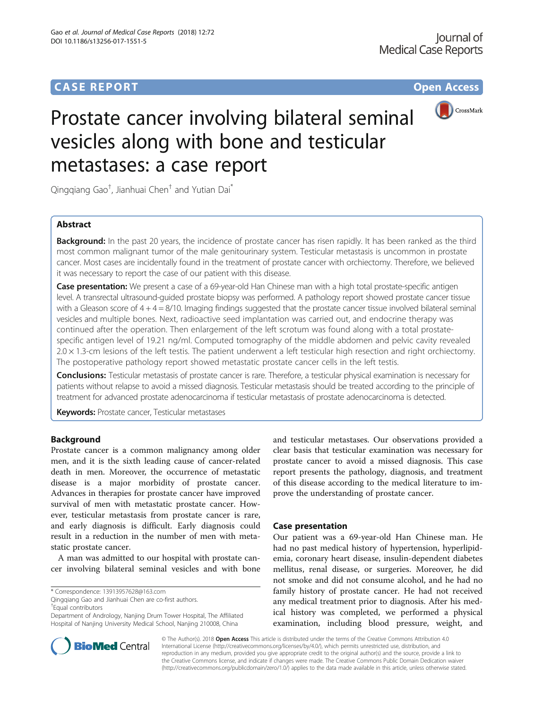## **CASE REPORT CASE REPORT CASE REPORT**



# Prostate cancer involving bilateral seminal vesicles along with bone and testicular metastases: a case report

Qingqiang Gao<sup>†</sup>, Jianhuai Chen<sup>†</sup> and Yutian Dai<sup>\*</sup>

## Abstract

**Background:** In the past 20 years, the incidence of prostate cancer has risen rapidly. It has been ranked as the third most common malignant tumor of the male genitourinary system. Testicular metastasis is uncommon in prostate cancer. Most cases are incidentally found in the treatment of prostate cancer with orchiectomy. Therefore, we believed it was necessary to report the case of our patient with this disease.

Case presentation: We present a case of a 69-year-old Han Chinese man with a high total prostate-specific antigen level. A transrectal ultrasound-guided prostate biopsy was performed. A pathology report showed prostate cancer tissue with a Gleason score of  $4 + 4 = 8/10$ . Imaging findings suggested that the prostate cancer tissue involved bilateral seminal vesicles and multiple bones. Next, radioactive seed implantation was carried out, and endocrine therapy was continued after the operation. Then enlargement of the left scrotum was found along with a total prostatespecific antigen level of 19.21 ng/ml. Computed tomography of the middle abdomen and pelvic cavity revealed  $2.0 \times 1.3$ -cm lesions of the left testis. The patient underwent a left testicular high resection and right orchiectomy. The postoperative pathology report showed metastatic prostate cancer cells in the left testis.

Conclusions: Testicular metastasis of prostate cancer is rare. Therefore, a testicular physical examination is necessary for patients without relapse to avoid a missed diagnosis. Testicular metastasis should be treated according to the principle of treatment for advanced prostate adenocarcinoma if testicular metastasis of prostate adenocarcinoma is detected.

**Keywords: Prostate cancer, Testicular metastases** 

## Background

Prostate cancer is a common malignancy among older men, and it is the sixth leading cause of cancer-related death in men. Moreover, the occurrence of metastatic disease is a major morbidity of prostate cancer. Advances in therapies for prostate cancer have improved survival of men with metastatic prostate cancer. However, testicular metastasis from prostate cancer is rare, and early diagnosis is difficult. Early diagnosis could result in a reduction in the number of men with metastatic prostate cancer.

A man was admitted to our hospital with prostate cancer involving bilateral seminal vesicles and with bone

Qingqiang Gao and Jianhuai Chen are co-first authors. † Equal contributors

Department of Andrology, Nanjing Drum Tower Hospital, The Affiliated Hospital of Nanjing University Medical School, Nanjing 210008, China

and testicular metastases. Our observations provided a clear basis that testicular examination was necessary for prostate cancer to avoid a missed diagnosis. This case report presents the pathology, diagnosis, and treatment of this disease according to the medical literature to improve the understanding of prostate cancer.

## Case presentation

Our patient was a 69-year-old Han Chinese man. He had no past medical history of hypertension, hyperlipidemia, coronary heart disease, insulin-dependent diabetes mellitus, renal disease, or surgeries. Moreover, he did not smoke and did not consume alcohol, and he had no family history of prostate cancer. He had not received any medical treatment prior to diagnosis. After his medical history was completed, we performed a physical examination, including blood pressure, weight, and



© The Author(s). 2018 Open Access This article is distributed under the terms of the Creative Commons Attribution 4.0 International License [\(http://creativecommons.org/licenses/by/4.0/](http://creativecommons.org/licenses/by/4.0/)), which permits unrestricted use, distribution, and reproduction in any medium, provided you give appropriate credit to the original author(s) and the source, provide a link to the Creative Commons license, and indicate if changes were made. The Creative Commons Public Domain Dedication waiver [\(http://creativecommons.org/publicdomain/zero/1.0/](http://creativecommons.org/publicdomain/zero/1.0/)) applies to the data made available in this article, unless otherwise stated.

<sup>\*</sup> Correspondence: [13913957628@163.com](mailto:13913957628@163.com)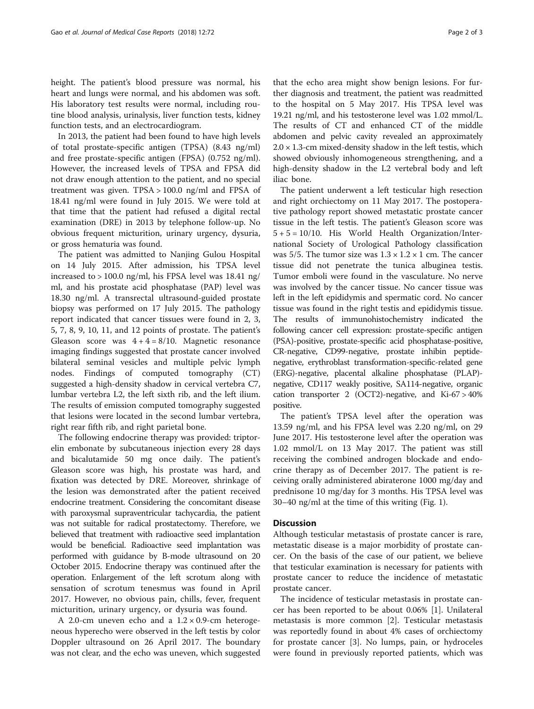height. The patient's blood pressure was normal, his heart and lungs were normal, and his abdomen was soft. His laboratory test results were normal, including routine blood analysis, urinalysis, liver function tests, kidney function tests, and an electrocardiogram.

In 2013, the patient had been found to have high levels of total prostate-specific antigen (TPSA) (8.43 ng/ml) and free prostate-specific antigen (FPSA) (0.752 ng/ml). However, the increased levels of TPSA and FPSA did not draw enough attention to the patient, and no special treatment was given. TPSA > 100.0 ng/ml and FPSA of 18.41 ng/ml were found in July 2015. We were told at that time that the patient had refused a digital rectal examination (DRE) in 2013 by telephone follow-up. No obvious frequent micturition, urinary urgency, dysuria, or gross hematuria was found.

The patient was admitted to Nanjing Gulou Hospital on 14 July 2015. After admission, his TPSA level increased to > 100.0 ng/ml, his FPSA level was 18.41 ng/ ml, and his prostate acid phosphatase (PAP) level was 18.30 ng/ml. A transrectal ultrasound-guided prostate biopsy was performed on 17 July 2015. The pathology report indicated that cancer tissues were found in 2, 3, 5, 7, 8, 9, 10, 11, and 12 points of prostate. The patient's Gleason score was  $4 + 4 = 8/10$ . Magnetic resonance imaging findings suggested that prostate cancer involved bilateral seminal vesicles and multiple pelvic lymph nodes. Findings of computed tomography (CT) suggested a high-density shadow in cervical vertebra C7, lumbar vertebra L2, the left sixth rib, and the left ilium. The results of emission computed tomography suggested that lesions were located in the second lumbar vertebra, right rear fifth rib, and right parietal bone.

The following endocrine therapy was provided: triptorelin embonate by subcutaneous injection every 28 days and bicalutamide 50 mg once daily. The patient's Gleason score was high, his prostate was hard, and fixation was detected by DRE. Moreover, shrinkage of the lesion was demonstrated after the patient received endocrine treatment. Considering the concomitant disease with paroxysmal supraventricular tachycardia, the patient was not suitable for radical prostatectomy. Therefore, we believed that treatment with radioactive seed implantation would be beneficial. Radioactive seed implantation was performed with guidance by B-mode ultrasound on 20 October 2015. Endocrine therapy was continued after the operation. Enlargement of the left scrotum along with sensation of scrotum tenesmus was found in April 2017. However, no obvious pain, chills, fever, frequent micturition, urinary urgency, or dysuria was found.

A 2.0-cm uneven echo and a  $1.2 \times 0.9$ -cm heterogeneous hyperecho were observed in the left testis by color Doppler ultrasound on 26 April 2017. The boundary was not clear, and the echo was uneven, which suggested

that the echo area might show benign lesions. For further diagnosis and treatment, the patient was readmitted to the hospital on 5 May 2017. His TPSA level was 19.21 ng/ml, and his testosterone level was 1.02 mmol/L. The results of CT and enhanced CT of the middle abdomen and pelvic cavity revealed an approximately  $2.0 \times 1.3$ -cm mixed-density shadow in the left testis, which showed obviously inhomogeneous strengthening, and a high-density shadow in the L2 vertebral body and left iliac bone.

The patient underwent a left testicular high resection and right orchiectomy on 11 May 2017. The postoperative pathology report showed metastatic prostate cancer tissue in the left testis. The patient's Gleason score was  $5 + 5 = 10/10$ . His World Health Organization/International Society of Urological Pathology classification was 5/5. The tumor size was  $1.3 \times 1.2 \times 1$  cm. The cancer tissue did not penetrate the tunica albuginea testis. Tumor emboli were found in the vasculature. No nerve was involved by the cancer tissue. No cancer tissue was left in the left epididymis and spermatic cord. No cancer tissue was found in the right testis and epididymis tissue. The results of immunohistochemistry indicated the following cancer cell expression: prostate-specific antigen (PSA)-positive, prostate-specific acid phosphatase-positive, CR-negative, CD99-negative, prostate inhibin peptidenegative, erythroblast transformation-specific-related gene (ERG)-negative, placental alkaline phosphatase (PLAP) negative, CD117 weakly positive, SA114-negative, organic cation transporter 2 (OCT2)-negative, and Ki-67 > 40% positive.

The patient's TPSA level after the operation was 13.59 ng/ml, and his FPSA level was 2.20 ng/ml, on 29 June 2017. His testosterone level after the operation was 1.02 mmol/L on 13 May 2017. The patient was still receiving the combined androgen blockade and endocrine therapy as of December 2017. The patient is receiving orally administered abiraterone 1000 mg/day and prednisone 10 mg/day for 3 months. His TPSA level was 30–40 ng/ml at the time of this writing (Fig. [1](#page-2-0)).

## **Discussion**

Although testicular metastasis of prostate cancer is rare, metastatic disease is a major morbidity of prostate cancer. On the basis of the case of our patient, we believe that testicular examination is necessary for patients with prostate cancer to reduce the incidence of metastatic prostate cancer.

The incidence of testicular metastasis in prostate cancer has been reported to be about 0.06% [\[1](#page-2-0)]. Unilateral metastasis is more common [\[2\]](#page-2-0). Testicular metastasis was reportedly found in about 4% cases of orchiectomy for prostate cancer [\[3](#page-2-0)]. No lumps, pain, or hydroceles were found in previously reported patients, which was